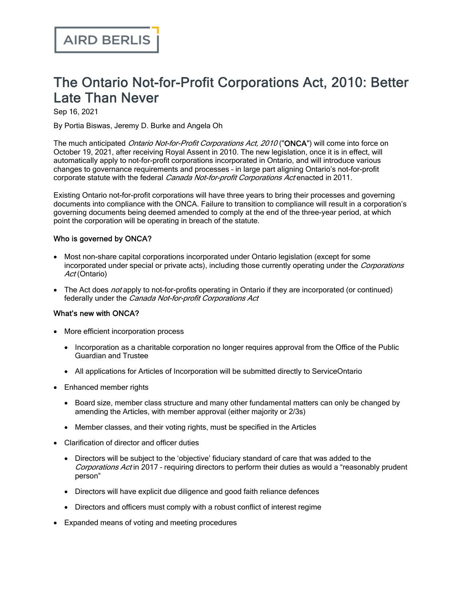# The Ontario Not-for-Profit Corporations Act, 2010: Better Late Than Never

Sep 16, 2021

By Portia Biswas, Jeremy D. Burke and Angela Oh

The much anticipated *Ontario Not-for-Profit [Corporations](https://www.ontario.ca/laws/statute/10n15) Act, 2010* ("ONCA") will come into force on October 19, 2021, after receiving Royal Assent in 2010. The new legislation, once it is in effect, will automatically apply to not-for-profit corporations incorporated in Ontario, and will introduce various changes to governance requirements and processes – in large part aligning Ontario's not-for-profit corporate statute with the federal *Canada Not-for-profit Corporations Act* enacted in 2011.

Existing Ontario not-for-profit corporations will have three [years](https://www.ontario.ca/page/guide-not-profit-corporations-act-2010) to bring their processes and governing documents into compliance with the ONCA. Failure to transition to compliance will result in a corporation's governing documents being deemed amended to comply at the end of the three-year period, at which point the corporation will be operating in breach of the statute.

#### Who is governed by ONCA?

- · Most non-share capital corporations incorporated under Ontario legislation (except for some incorporated under special or private acts), including those currently operating under the Corporations Act (Ontario)
- The Act does *not* apply to not-for-profits operating in Ontario if they are incorporated (or continued) federally under the Canada Not-for-profit Corporations Act

### What's new with ONCA?

- More efficient incorporation process
	- · Incorporation as a charitable corporation no longer requires approval from the Office of the Public Guardian and Trustee
	- · All applications for Articles of Incorporation will be submitted directly to ServiceOntario
- · Enhanced member rights
	- · Board size, member class structure and many other fundamental matters can only be changed by amending the Articles, with member approval (either majority or 2/3s)
	- · Member classes, and their voting rights, must be specified in the Articles
- · Clarification of director and officer duties
	- · Directors will be subject to the 'objective' fiduciary standard of care that was added to the Corporations Act in 2017 - requiring directors to perform their duties as would a "reasonably prudent person"
	- · Directors will have explicit due diligence and good faith reliance defences
	- · Directors and officers must comply with a robust conflict of interest regime
- · Expanded means of voting and meeting procedures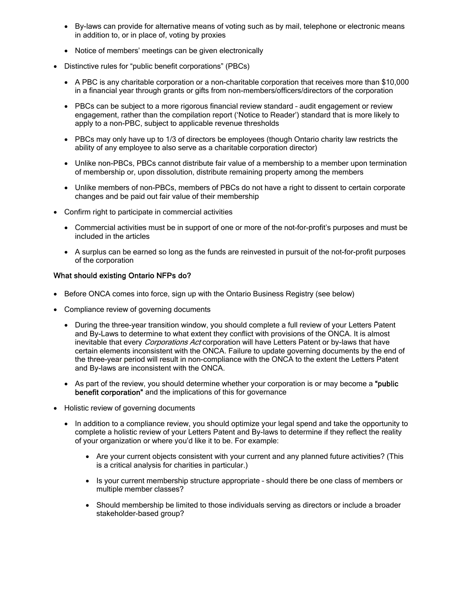- · By-laws can provide for alternative means of voting such as by mail, telephone or electronic means in addition to, or in place of, voting by proxies
- · Notice of members' meetings can be given electronically
- · Distinctive rules for "public benefit corporations" (PBCs)
	- · A PBC is any charitable corporation or a non-charitable corporation that receives more than \$10,000 in a financial year through grants or gifts from non-members/officers/directors of the corporation
	- · PBCs can be subject to a more rigorous financial review standard audit engagement or review engagement, rather than the compilation report ('Notice to Reader') standard that is more likely to apply to a non-PBC, subject to applicable revenue thresholds
	- · PBCs may only have up to 1/3 of directors be employees (though Ontario charity law restricts the ability of any employee to also serve as a charitable corporation director)
	- · Unlike non-PBCs, PBCs cannot distribute fair value of a membership to a member upon termination of membership or, upon dissolution, distribute remaining property among the members
	- · Unlike members of non-PBCs, members of PBCs do not have a right to dissent to certain corporate changes and be paid out fair value of their membership
- · Confirm right to participate in commercial activities
	- · Commercial activities must be in support of one or more of the not-for-profit's purposes and must be included in the articles
	- · A surplus can be earned so long as the funds are reinvested in pursuit of the not-for-profit purposes of the corporation

#### What should existing Ontario NFPs do?

- · Before ONCA comes into force, [sign](https://mailchi.mp/ontario.ca/business-registry-setup) up with the Ontario Business Registry (see below)
- · Compliance review of governing documents
	- · During the three-year transition window, you should complete a full review of your Letters Patent and By-Laws to determine to what extent they conflict with provisions of the ONCA. It is almost inevitable that every Corporations Act corporation will have Letters Patent or by-laws that have certain elements inconsistent with the ONCA. Failure to update governing documents by the end of the three-year period will result in non-compliance with the ONCA to the extent the Letters Patent and By-laws are inconsistent with the ONCA.
	- As part of the review, you should determine whether your corporation is or may become a "public" benefit corporation" and the implications of this for governance
- · Holistic review of governing documents
	- · In addition to a compliance review, you should optimize your legal spend and take the opportunity to complete a holistic review of your Letters Patent and By-laws to determine if they reflect the reality of your organization or where you'd like it to be. For example:
		- · Are your current objects consistent with your current and any planned future activities? (This is a critical analysis for charities in particular.)
		- · Is your current membership structure appropriate should there be one class of members or multiple member classes?
		- · Should membership be limited to those individuals serving as directors or include a broader stakeholder-based group?